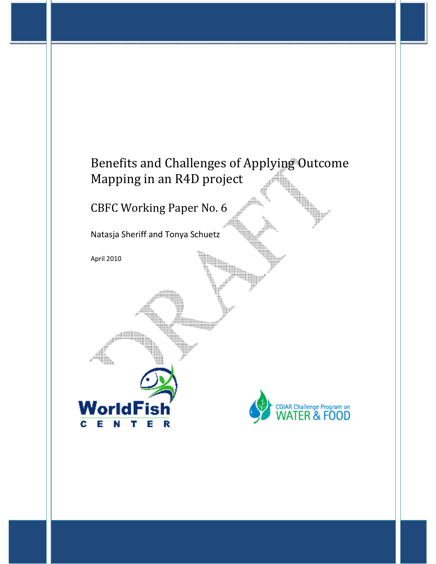## Benefits and Challenges of Applying Outcome Mapping in an R4D project

CBFC Working Paper No. 6

Natasja Sheriff and Tonya Schuetz

April 2010

WorldFish

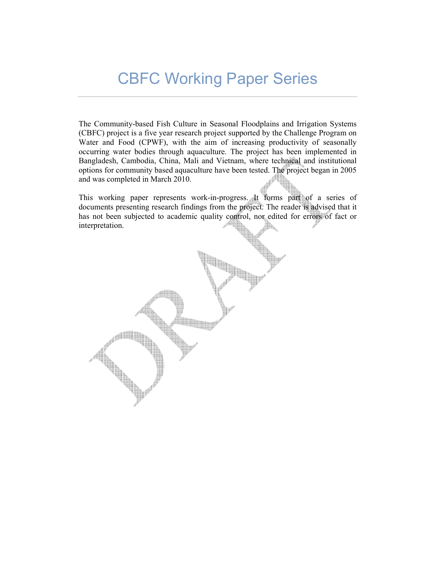# CBFC Working Paper Series

The Community-based Fish Culture in Seasonal Floodplains and Irrigation Systems (CBFC) project is a five year research project supported by the Challenge Program on Water and Food (CPWF), with the aim of increasing productivity of seasonally occurring water bodies through aquaculture. The project has been implemented in Bangladesh, Cambodia, China, Mali and Vietnam, where technical and institutional options for community based aquaculture have been tested. The project began in 2005 and was completed in March 2010.

This working paper represents work-in-progress. It forms part of a series of documents presenting research findings from the project. The reader is advised that it has not been subjected to academic quality control, nor edited for errors of fact or interpretation.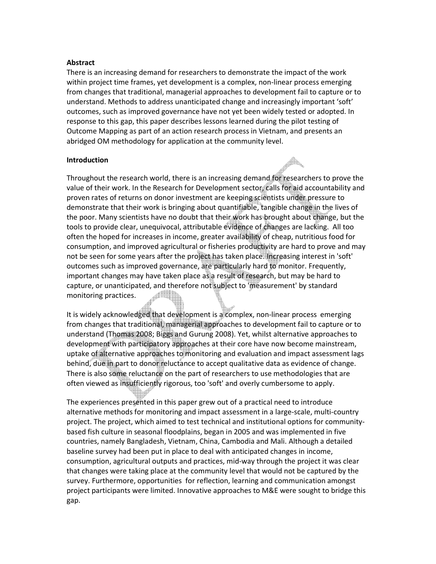#### **Abstract**

There is an increasing demand for researchers to demonstrate the impact of the work within project time frames, yet development is a complex, non-linear process emerging from changes that traditional, managerial approaches to development fail to capture or to understand. Methods to address unanticipated change and increasingly important 'soft' outcomes, such as improved governance have not yet been widely tested or adopted. In response to this gap, this paper describes lessons learned during the pilot testing of Outcome Mapping as part of an action research process in Vietnam, and presents an abridged OM methodology for application at the community level.

#### **Introduction**

Throughout the research world, there is an increasing demand for researchers to prove the value of their work. In the Research for Development sector, calls for aid accountability and proven rates of returns on donor investment are keeping scientists under pressure to demonstrate that their work is bringing about quantifiable, tangible change in the lives of the poor. Many scientists have no doubt that their work has brought about change, but the tools to provide clear, unequivocal, attributable evidence of changes are lacking. All too often the hoped for increases in income, greater availability of cheap, nutritious food for consumption, and improved agricultural or fisheries productivity are hard to prove and may not be seen for some years after the project has taken place. Increasing interest in 'soft' outcomes such as improved governance, are particularly hard to monitor. Frequently, important changes may have taken place as a result of research, but may be hard to capture, or unanticipated, and therefore not subject to 'measurement' by standard monitoring practices. <u>and the second</u>

It is widely acknowledged that development is a complex, non-linear process emerging from changes that traditional, managerial approaches to development fail to capture or to understand (Thomas 2008; Biggs and Gurung 2008). Yet, whilst alternative approaches to development with participatory approaches at their core have now become mainstream, uptake of alternative approaches to monitoring and evaluation and impact assessment lags behind, due in part to donor reluctance to accept qualitative data as evidence of change. There is also some reluctance on the part of researchers to use methodologies that are often viewed as insufficiently rigorous, too 'soft' and overly cumbersome to apply.

The experiences presented in this paper grew out of a practical need to introduce alternative methods for monitoring and impact assessment in a large-scale, multi-country project. The project, which aimed to test technical and institutional options for communitybased fish culture in seasonal floodplains, began in 2005 and was implemented in five countries, namely Bangladesh, Vietnam, China, Cambodia and Mali. Although a detailed baseline survey had been put in place to deal with anticipated changes in income, consumption, agricultural outputs and practices, mid-way through the project it was clear that changes were taking place at the community level that would not be captured by the survey. Furthermore, opportunities for reflection, learning and communication amongst project participants were limited. Innovative approaches to M&E were sought to bridge this gap.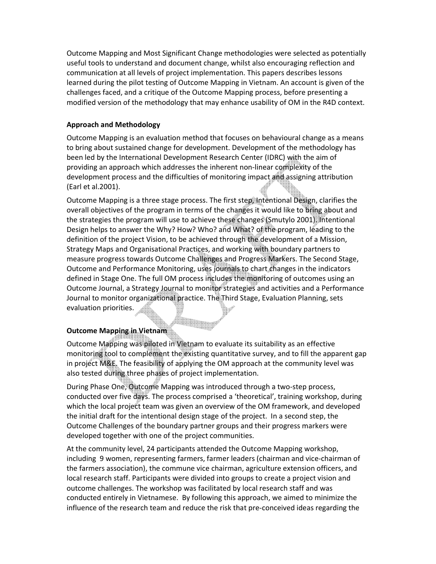Outcome Mapping and Most Significant Change methodologies were selected as potentially useful tools to understand and document change, whilst also encouraging reflection and communication at all levels of project implementation. This papers describes lessons learned during the pilot testing of Outcome Mapping in Vietnam. An account is given of the challenges faced, and a critique of the Outcome Mapping process, before presenting a modified version of the methodology that may enhance usability of OM in the R4D context.

## **Approach and Methodology**

Outcome Mapping is an evaluation method that focuses on behavioural change as a means to bring about sustained change for development. Development of the methodology has been led by the International Development Research Center (IDRC) with the aim of providing an approach which addresses the inherent non-linear complexity of the development process and the difficulties of monitoring impact and assigning attribution (Earl et al.2001).

Outcome Mapping is a three stage process. The first step, Intentional Design, clarifies the overall objectives of the program in terms of the changes it would like to bring about and the strategies the program will use to achieve these changes (Smutylo 2001). Intentional Design helps to answer the Why? How? Who? and What? of the program, leading to the definition of the project Vision, to be achieved through the development of a Mission, Strategy Maps and Organisational Practices, and working with boundary partners to measure progress towards Outcome Challenges and Progress Markers. The Second Stage, Outcome and Performance Monitoring, uses journals to chart changes in the indicators defined in Stage One. The full OM process includes the monitoring of outcomes using an Outcome Journal, a Strategy Journal to monitor strategies and activities and a Performance Journal to monitor organizational practice. The Third Stage, Evaluation Planning, sets evaluation priorities.

## **Outcome Mapping in Vietnam**

Outcome Mapping was piloted in Vietnam to evaluate its suitability as an effective monitoring tool to complement the existing quantitative survey, and to fill the apparent gap in project M&E. The feasibility of applying the OM approach at the community level was also tested during three phases of project implementation.

During Phase One, Outcome Mapping was introduced through a two-step process, conducted over five days. The process comprised a 'theoretical', training workshop, during which the local project team was given an overview of the OM framework, and developed the initial draft for the intentional design stage of the project. In a second step, the Outcome Challenges of the boundary partner groups and their progress markers were developed together with one of the project communities.

At the community level, 24 participants attended the Outcome Mapping workshop, including 9 women, representing farmers, farmer leaders (chairman and vice-chairman of the farmers association), the commune vice chairman, agriculture extension officers, and local research staff. Participants were divided into groups to create a project vision and outcome challenges. The workshop was facilitated by local research staff and was conducted entirely in Vietnamese. By following this approach, we aimed to minimize the influence of the research team and reduce the risk that pre-conceived ideas regarding the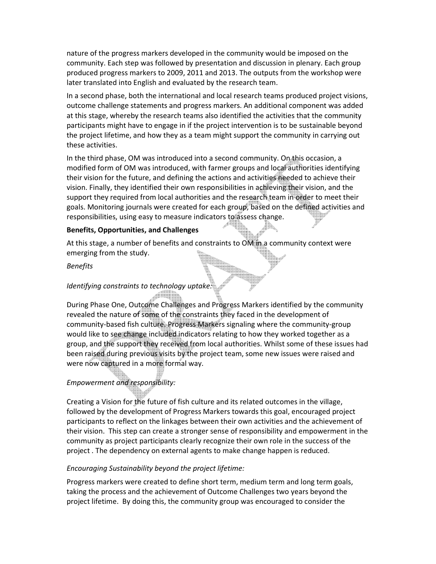nature of the progress markers developed in the community would be imposed on the community. Each step was followed by presentation and discussion in plenary. Each group produced progress markers to 2009, 2011 and 2013. The outputs from the workshop were later translated into English and evaluated by the research team.

In a second phase, both the international and local research teams produced project visions, outcome challenge statements and progress markers. An additional component was added at this stage, whereby the research teams also identified the activities that the community participants might have to engage in if the project intervention is to be sustainable beyond the project lifetime, and how they as a team might support the community in carrying out these activities.

In the third phase, OM was introduced into a second community. On this occasion, a modified form of OM was introduced, with farmer groups and local authorities identifying their vision for the future, and defining the actions and activities needed to achieve their vision. Finally, they identified their own responsibilities in achieving their vision, and the support they required from local authorities and the research team in order to meet their goals. Monitoring journals were created for each group, based on the defined activities and responsibilities, using easy to measure indicators to assess change.

#### **Benefits, Opportunities, and Challenges**

At this stage, a number of benefits and constraints to OM in a community context were emerging from the study.

#### *Benefits*

### *Identifying constraints to technology uptake:*

During Phase One, Outcome Challenges and Progress Markers identified by the community revealed the nature of some of the constraints they faced in the development of community-based fish culture. Progress Markers signaling where the community-group would like to see change included indicators relating to how they worked together as a group, and the support they received from local authorities. Whilst some of these issues had been raised during previous visits by the project team, some new issues were raised and were now captured in a more formal way.

## *Empowerment and responsibility:*

Creating a Vision for the future of fish culture and its related outcomes in the village, followed by the development of Progress Markers towards this goal, encouraged project participants to reflect on the linkages between their own activities and the achievement of their vision. This step can create a stronger sense of responsibility and empowerment in the community as project participants clearly recognize their own role in the success of the project . The dependency on external agents to make change happen is reduced.

#### *Encouraging Sustainability beyond the project lifetime:*

Progress markers were created to define short term, medium term and long term goals, taking the process and the achievement of Outcome Challenges two years beyond the project lifetime. By doing this, the community group was encouraged to consider the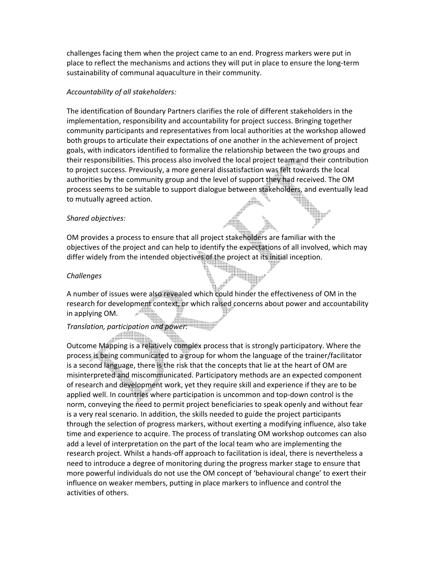challenges facing them when the project came to an end. Progress markers were put in place to reflect the mechanisms and actions they will put in place to ensure the long-term sustainability of communal aquaculture in their community.

#### *Accountability of all stakeholders:*

The identification of Boundary Partners clarifies the role of different stakeholders in the implementation, responsibility and accountability for project success. Bringing together community participants and representatives from local authorities at the workshop allowed both groups to articulate their expectations of one another in the achievement of project goals, with indicators identified to formalize the relationship between the two groups and their responsibilities. This process also involved the local project team and their contribution to project success. Previously, a more general dissatisfaction was felt towards the local authorities by the community group and the level of support they had received. The OM process seems to be suitable to support dialogue between stakeholders, and eventually lead to mutually agreed action.

#### *Shared objectives:*

OM provides a process to ensure that all project stakeholders are familiar with the objectives of the project and can help to identify the expectations of all involved, which may differ widely from the intended objectives of the project at its initial inception.

#### *Challenges*

A number of issues were also revealed which could hinder the effectiveness of OM in the research for development context, or which raised concerns about power and accountability in applying OM.

## *Translation, participation and power:*

Outcome Mapping is a relatively complex process that is strongly participatory. Where the process is being communicated to a group for whom the language of the trainer/facilitator is a second language, there is the risk that the concepts that lie at the heart of OM are misinterpreted and miscommunicated. Participatory methods are an expected component of research and development work, yet they require skill and experience if they are to be applied well. In countries where participation is uncommon and top-down control is the norm, conveying the need to permit project beneficiaries to speak openly and without fear is a very real scenario. In addition, the skills needed to guide the project participants through the selection of progress markers, without exerting a modifying influence, also take time and experience to acquire. The process of translating OM workshop outcomes can also add a level of interpretation on the part of the local team who are implementing the research project. Whilst a hands-off approach to facilitation is ideal, there is nevertheless a need to introduce a degree of monitoring during the progress marker stage to ensure that more powerful individuals do not use the OM concept of 'behavioural change' to exert their influence on weaker members, putting in place markers to influence and control the activities of others.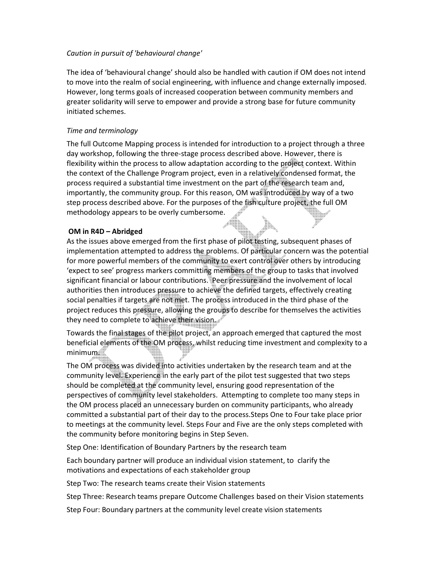## *Caution in pursuit of 'behavioural change'*

The idea of 'behavioural change' should also be handled with caution if OM does not intend to move into the realm of social engineering, with influence and change externally imposed. However, long terms goals of increased cooperation between community members and greater solidarity will serve to empower and provide a strong base for future community initiated schemes.

## *Time and terminology*

The full Outcome Mapping process is intended for introduction to a project through a three day workshop, following the three-stage process described above. However, there is flexibility within the process to allow adaptation according to the project context. Within the context of the Challenge Program project, even in a relatively condensed format, the process required a substantial time investment on the part of the research team and, importantly, the community group. For this reason, OM was introduced by way of a two step process described above. For the purposes of the fish culture project, the full OM methodology appears to be overly cumbersome.

## **OM in R4D – Abridged**

As the issues above emerged from the first phase of pilot testing, subsequent phases of implementation attempted to address the problems. Of particular concern was the potential for more powerful members of the community to exert control over others by introducing 'expect to see' progress markers committing members of the group to tasks that involved significant financial or labour contributions. Peer pressure and the involvement of local authorities then introduces pressure to achieve the defined targets, effectively creating social penalties if targets are not met. The process introduced in the third phase of the project reduces this pressure, allowing the groups to describe for themselves the activities they need to complete to achieve their vision.

Towards the final stages of the pilot project, an approach emerged that captured the most beneficial elements of the OM process, whilst reducing time investment and complexity to a minimum.

The OM process was divided into activities undertaken by the research team and at the community level. Experience in the early part of the pilot test suggested that two steps should be completed at the community level, ensuring good representation of the perspectives of community level stakeholders. Attempting to complete too many steps in the OM process placed an unnecessary burden on community participants, who already committed a substantial part of their day to the process.Steps One to Four take place prior to meetings at the community level. Steps Four and Five are the only steps completed with the community before monitoring begins in Step Seven.

Step One: Identification of Boundary Partners by the research team

Each boundary partner will produce an individual vision statement, to clarify the motivations and expectations of each stakeholder group

Step Two: The research teams create their Vision statements

Step Three: Research teams prepare Outcome Challenges based on their Vision statements

Step Four: Boundary partners at the community level create vision statements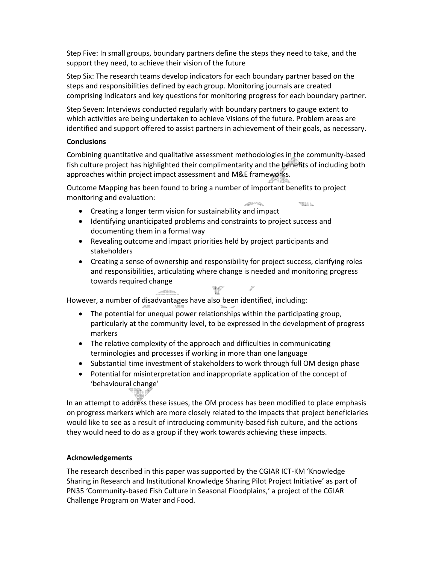Step Five: In small groups, boundary partners define the steps they need to take, and the support they need, to achieve their vision of the future

Step Six: The research teams develop indicators for each boundary partner based on the steps and responsibilities defined by each group. Monitoring journals are created comprising indicators and key questions for monitoring progress for each boundary partner.

Step Seven: Interviews conducted regularly with boundary partners to gauge extent to which activities are being undertaken to achieve Visions of the future. Problem areas are identified and support offered to assist partners in achievement of their goals, as necessary.

## **Conclusions**

Combining quantitative and qualitative assessment methodologies in the community-based fish culture project has highlighted their complimentarity and the benefits of including both approaches within project impact assessment and M&E frameworks.

Outcome Mapping has been found to bring a number of important benefits to project monitoring and evaluation: rementa. **Communication** 

- Creating a longer term vision for sustainability and impact
- Identifying unanticipated problems and constraints to project success and documenting them in a formal way
- Revealing outcome and impact priorities held by project participants and stakeholders
- Creating a sense of ownership and responsibility for project success, clarifying roles and responsibilities, articulating where change is needed and monitoring progress towards required change

 $\sim$   $\sim$   $\sim$ However, a number of disadvantages have also been identified, including:

- The potential for unequal power relationships within the participating group, particularly at the community level, to be expressed in the development of progress markers
- The relative complexity of the approach and difficulties in communicating terminologies and processes if working in more than one language
- Substantial time investment of stakeholders to work through full OM design phase
- Potential for misinterpretation and inappropriate application of the concept of 'behavioural change' 99

In an attempt to address these issues, the OM process has been modified to place emphasis on progress markers which are more closely related to the impacts that project beneficiaries would like to see as a result of introducing community-based fish culture, and the actions they would need to do as a group if they work towards achieving these impacts.

## **Acknowledgements**

The research described in this paper was supported by the CGIAR ICT-KM 'Knowledge Sharing in Research and Institutional Knowledge Sharing Pilot Project Initiative' as part of PN35 'Community-based Fish Culture in Seasonal Floodplains,' a project of the CGIAR Challenge Program on Water and Food.